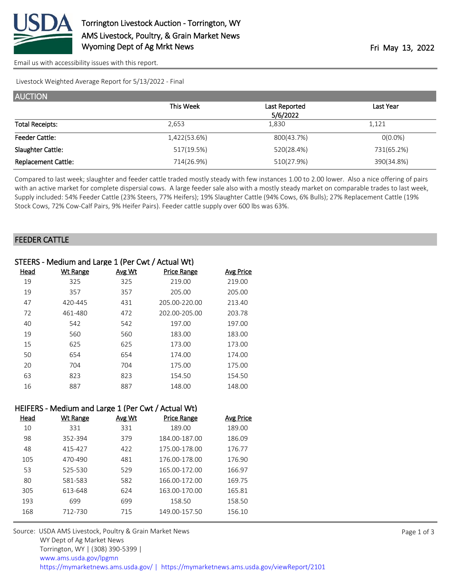

[Email us with accessibility issues with this report.](mailto:mars@ams.usda.gov?subject=508%20issue)

Livestock Weighted Average Report for 5/13/2022 - Final

| <b>AUCTION</b>             |              |               |            |
|----------------------------|--------------|---------------|------------|
|                            | This Week    | Last Reported | Last Year  |
|                            |              | 5/6/2022      |            |
| <b>Total Receipts:</b>     | 2,653        | 1.830         | 1,121      |
| <b>Feeder Cattle:</b>      | 1,422(53.6%) | 800(43.7%)    | $O(0.0\%)$ |
| Slaughter Cattle:          | 517(19.5%)   | 520(28.4%)    | 731(65.2%) |
| <b>Replacement Cattle:</b> | 714(26.9%)   | 510(27.9%)    | 390(34.8%) |

Compared to last week; slaughter and feeder cattle traded mostly steady with few instances 1.00 to 2.00 lower. Also a nice offering of pairs with an active market for complete dispersial cows. A large feeder sale also with a mostly steady market on comparable trades to last week, Supply included: 54% Feeder Cattle (23% Steers, 77% Heifers); 19% Slaughter Cattle (94% Cows, 6% Bulls); 27% Replacement Cattle (19% Stock Cows, 72% Cow-Calf Pairs, 9% Heifer Pairs). Feeder cattle supply over 600 lbs was 63%.

## FEEDER CATTLE

| STEERS - Medium and Large 1 (Per Cwt / Actual Wt) |                 |        |                    |           |
|---------------------------------------------------|-----------------|--------|--------------------|-----------|
| Head                                              | <b>Wt Range</b> | Avg Wt | <b>Price Range</b> | Avg Price |
| 19                                                | 325             | 325    | 219.00             | 219.00    |
| 19                                                | 357             | 357    | 205.00             | 205.00    |
| 47                                                | 420-445         | 431    | 205.00-220.00      | 213.40    |
| 72                                                | 461-480         | 472    | 202.00-205.00      | 203.78    |
| 40                                                | 542             | 542    | 197.00             | 197.00    |
| 19                                                | 560             | 560    | 183.00             | 183.00    |
| 15                                                | 625             | 625    | 173.00             | 173.00    |
| 50                                                | 654             | 654    | 174.00             | 174.00    |
| 20                                                | 704             | 704    | 175.00             | 175.00    |
| 63                                                | 823             | 823    | 154.50             | 154.50    |
| 16                                                | 887             | 887    | 148.00             | 148.00    |

## HEIFERS - Medium and Large 1 (Per Cwt / Actual Wt)

| Head | Wt Range | Avg Wt | <b>Price Range</b> | Avg Price |
|------|----------|--------|--------------------|-----------|
| 10   | 331      | 331    | 189.00             | 189.00    |
| 98   | 352-394  | 379    | 184.00-187.00      | 186.09    |
| 48   | 415-427  | 422    | 175.00-178.00      | 176.77    |
| 105  | 470-490  | 481    | 176.00-178.00      | 176.90    |
| 53   | 525-530  | 529    | 165.00-172.00      | 166.97    |
| 80   | 581-583  | 582    | 166.00-172.00      | 169.75    |
| 305  | 613-648  | 624    | 163.00-170.00      | 165.81    |
| 193  | 699      | 699    | 158.50             | 158.50    |
| 168  | 712-730  | 715    | 149.00-157.50      | 156.10    |
|      |          |        |                    |           |

Source: USDA AMS Livestock, Poultry & Grain Market News WY Dept of Ag Market News Torrington, WY | (308) 390-5399 | [www.ams.usda.gov/lpgmn](https://www.ams.usda.gov/market-news) <https://mymarketnews.ams.usda.gov/> [|](https://www.ams.usda.gov/market-news) <https://mymarketnews.ams.usda.gov/viewReport/2101>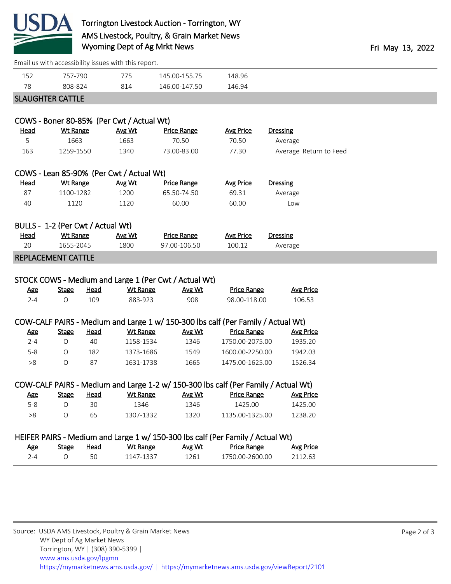

## Torrington Livestock Auction - Torrington, WY AMS Livestock, Poultry, & Grain Market News Wyoming Dept of Ag Mrkt News **Fri May 13, 2022**

| Email us with accessibility issues with this report.                               |                 |             |                                           |                                                                                  |                    |                        |
|------------------------------------------------------------------------------------|-----------------|-------------|-------------------------------------------|----------------------------------------------------------------------------------|--------------------|------------------------|
| 152                                                                                | 757-790         |             | 775                                       | 145.00-155.75                                                                    | 148.96             |                        |
| 78                                                                                 | 808-824         |             | 814                                       | 146.00-147.50                                                                    | 146.94             |                        |
| <b>SLAUGHTER CATTLE</b>                                                            |                 |             |                                           |                                                                                  |                    |                        |
|                                                                                    |                 |             |                                           |                                                                                  |                    |                        |
|                                                                                    |                 |             | COWS - Boner 80-85% (Per Cwt / Actual Wt) |                                                                                  |                    |                        |
| <u>Head</u>                                                                        | <b>Wt Range</b> |             | Avg Wt                                    | <b>Price Range</b>                                                               | <b>Avg Price</b>   | <b>Dressing</b>        |
| 5                                                                                  | 1663            |             | 1663                                      | 70.50                                                                            | 70.50              | Average                |
| 163                                                                                | 1259-1550       |             | 1340                                      | 73.00-83.00                                                                      | 77.30              | Average Return to Feed |
|                                                                                    |                 |             | COWS - Lean 85-90% (Per Cwt / Actual Wt)  |                                                                                  |                    |                        |
| <u>Head</u>                                                                        | <b>Wt Range</b> |             | Avg Wt                                    | <b>Price Range</b>                                                               | <b>Avg Price</b>   | <b>Dressing</b>        |
| 87                                                                                 | 1100-1282       |             | 1200                                      | 65.50-74.50                                                                      | 69.31              | Average                |
| 40                                                                                 | 1120            |             | 1120                                      | 60.00                                                                            | 60.00              | Low                    |
|                                                                                    |                 |             |                                           |                                                                                  |                    |                        |
| BULLS - 1-2 (Per Cwt / Actual Wt)                                                  |                 |             |                                           |                                                                                  |                    |                        |
| <u>Head</u>                                                                        | <b>Wt Range</b> |             | Avg Wt                                    | <b>Price Range</b>                                                               | <b>Avg Price</b>   | <b>Dressing</b>        |
| 20                                                                                 | 1655-2045       |             | 1800                                      | 97.00-106.50                                                                     | 100.12             | Average                |
| REPLACEMENT CATTLE                                                                 |                 |             |                                           |                                                                                  |                    |                        |
| STOCK COWS - Medium and Large 1 (Per Cwt / Actual Wt)                              |                 |             |                                           |                                                                                  |                    |                        |
| <u>Age</u>                                                                         | <b>Stage</b>    | Head        | <b>Wt Range</b>                           | Avg Wt                                                                           | <b>Price Range</b> | <b>Avg Price</b>       |
| $2 - 4$                                                                            | $\bigcirc$      | 109         | 883-923                                   | 908                                                                              | 98.00-118.00       | 106.53                 |
|                                                                                    |                 |             |                                           |                                                                                  |                    |                        |
|                                                                                    |                 |             |                                           | COW-CALF PAIRS - Medium and Large 1 w/ 150-300 lbs calf (Per Family / Actual Wt) |                    |                        |
| <u>Age</u>                                                                         | <b>Stage</b>    | <b>Head</b> | <b>Wt Range</b>                           | Avg Wt                                                                           | <b>Price Range</b> | <b>Avg Price</b>       |
| $2 - 4$                                                                            | $\bigcirc$      | 40          | 1158-1534                                 | 1346                                                                             | 1750.00-2075.00    | 1935.20                |
| $5 - 8$                                                                            | $\circ$         | 182         | 1373-1686                                 | 1549                                                                             | 1600.00-2250.00    | 1942.03                |
| >8                                                                                 | $\bigcirc$      | 87          | 1631-1738                                 | 1665                                                                             | 1475.00-1625.00    | 1526.34                |
|                                                                                    |                 |             |                                           |                                                                                  |                    |                        |
| COW-CALF PAIRS - Medium and Large 1-2 w/ 150-300 lbs calf (Per Family / Actual Wt) |                 |             |                                           |                                                                                  |                    |                        |
| <u>Age</u>                                                                         | <b>Stage</b>    | <b>Head</b> | <b>Wt Range</b>                           | Avg Wt                                                                           | <b>Price Range</b> | <b>Avg Price</b>       |
| $5 - 8$                                                                            | $\bigcirc$      | 30          | 1346                                      | 1346                                                                             | 1425.00            | 1425.00                |
| $>\!8$                                                                             | O               | 65          | 1307-1332                                 | 1320                                                                             | 1135.00-1325.00    | 1238.20                |
| HEIFER PAIRS - Medium and Large 1 w/ 150-300 lbs calf (Per Family / Actual Wt)     |                 |             |                                           |                                                                                  |                    |                        |
| <b>Age</b>                                                                         | <b>Stage</b>    | <b>Head</b> | <b>Wt Range</b>                           | Avg Wt                                                                           | <b>Price Range</b> | <b>Avg Price</b>       |
| $2 - 4$                                                                            | $\bigcirc$      | 50          | 1147-1337                                 | 1261                                                                             | 1750.00-2600.00    | 2112.63                |
|                                                                                    |                 |             |                                           |                                                                                  |                    |                        |